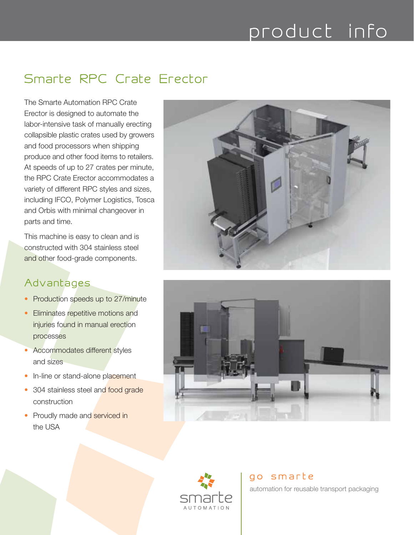## product info

## Smarte RPC Crate Erector

The Smarte Automation RPC Crate Erector is designed to automate the labor-intensive task of manually erecting collapsible plastic crates used by growers and food processors when shipping produce and other food items to retailers. At speeds of up to 27 crates per minute, the RPC Crate Erector accommodates a variety of different RPC styles and sizes, including IFCO, Polymer Logistics, Tosca and Orbis with minimal changeover in parts and time.

This machine is easy to clean and is constructed with 304 stainless steel and other food-grade components.

### Advantages

- Production speeds up to 27/minute
- Eliminates repetitive motions and injuries found in manual erection processes
- Accommodates different styles and sizes
- In-line or stand-alone placement
- 304 stainless steel and food grade construction
- Proudly made and serviced in the USA







#### go smarte

automation for reusable transport packaging